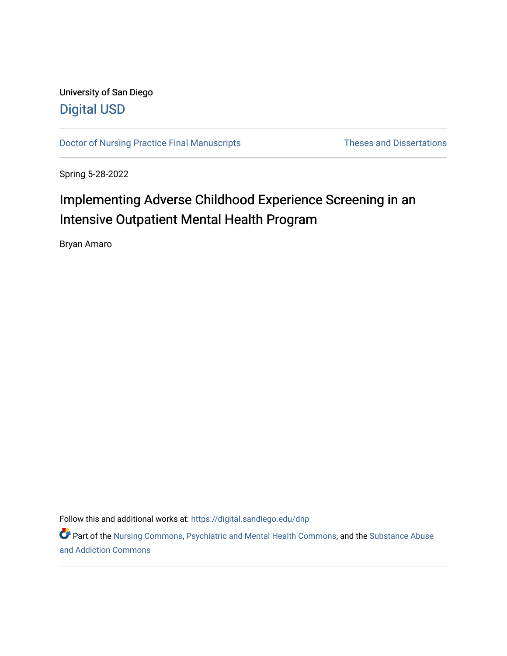## University of San Diego [Digital USD](https://digital.sandiego.edu/)

[Doctor of Nursing Practice Final Manuscripts](https://digital.sandiego.edu/dnp) Theses and Dissertations

Spring 5-28-2022

# Implementing Adverse Childhood Experience Screening in an Intensive Outpatient Mental Health Program

Bryan Amaro

Follow this and additional works at: [https://digital.sandiego.edu/dnp](https://digital.sandiego.edu/dnp?utm_source=digital.sandiego.edu%2Fdnp%2F186&utm_medium=PDF&utm_campaign=PDFCoverPages) 

Part of the [Nursing Commons,](http://network.bepress.com/hgg/discipline/718?utm_source=digital.sandiego.edu%2Fdnp%2F186&utm_medium=PDF&utm_campaign=PDFCoverPages) [Psychiatric and Mental Health Commons](http://network.bepress.com/hgg/discipline/711?utm_source=digital.sandiego.edu%2Fdnp%2F186&utm_medium=PDF&utm_campaign=PDFCoverPages), and the [Substance Abuse](http://network.bepress.com/hgg/discipline/710?utm_source=digital.sandiego.edu%2Fdnp%2F186&utm_medium=PDF&utm_campaign=PDFCoverPages)  [and Addiction Commons](http://network.bepress.com/hgg/discipline/710?utm_source=digital.sandiego.edu%2Fdnp%2F186&utm_medium=PDF&utm_campaign=PDFCoverPages)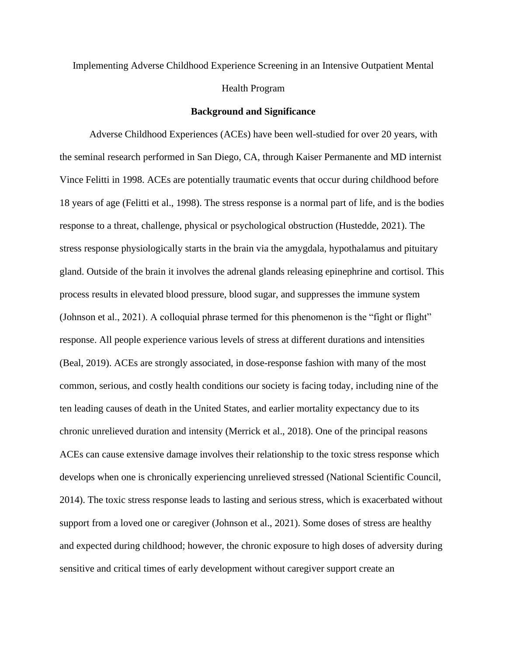## Implementing Adverse Childhood Experience Screening in an Intensive Outpatient Mental Health Program

#### **Background and Significance**

Adverse Childhood Experiences (ACEs) have been well-studied for over 20 years, with the seminal research performed in San Diego, CA, through Kaiser Permanente and MD internist Vince Felitti in 1998. ACEs are potentially traumatic events that occur during childhood before 18 years of age (Felitti et al., 1998). The stress response is a normal part of life, and is the bodies response to a threat, challenge, physical or psychological obstruction (Hustedde, 2021). The stress response physiologically starts in the brain via the amygdala, hypothalamus and pituitary gland. Outside of the brain it involves the adrenal glands releasing epinephrine and cortisol. This process results in elevated blood pressure, blood sugar, and suppresses the immune system (Johnson et al., 2021). A colloquial phrase termed for this phenomenon is the "fight or flight" response. All people experience various levels of stress at different durations and intensities (Beal, 2019). ACEs are strongly associated, in dose-response fashion with many of the most common, serious, and costly health conditions our society is facing today, including nine of the ten leading causes of death in the United States, and earlier mortality expectancy due to its chronic unrelieved duration and intensity (Merrick et al., 2018). One of the principal reasons ACEs can cause extensive damage involves their relationship to the toxic stress response which develops when one is chronically experiencing unrelieved stressed (National Scientific Council, 2014). The toxic stress response leads to lasting and serious stress, which is exacerbated without support from a loved one or caregiver (Johnson et al., 2021). Some doses of stress are healthy and expected during childhood; however, the chronic exposure to high doses of adversity during sensitive and critical times of early development without caregiver support create an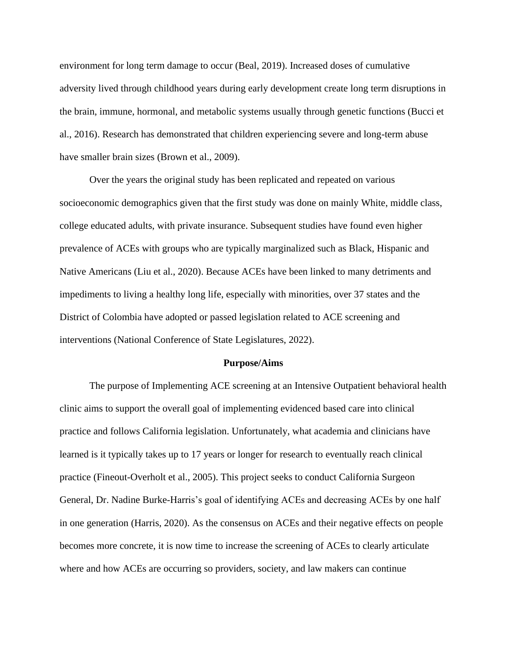environment for long term damage to occur (Beal, 2019). Increased doses of cumulative adversity lived through childhood years during early development create long term disruptions in the brain, immune, hormonal, and metabolic systems usually through genetic functions (Bucci et al., 2016). Research has demonstrated that children experiencing severe and long-term abuse have smaller brain sizes (Brown et al., 2009).

Over the years the original study has been replicated and repeated on various socioeconomic demographics given that the first study was done on mainly White, middle class, college educated adults, with private insurance. Subsequent studies have found even higher prevalence of ACEs with groups who are typically marginalized such as Black, Hispanic and Native Americans (Liu et al., 2020). Because ACEs have been linked to many detriments and impediments to living a healthy long life, especially with minorities, over 37 states and the District of Colombia have adopted or passed legislation related to ACE screening and interventions (National Conference of State Legislatures, 2022).

#### **Purpose/Aims**

The purpose of Implementing ACE screening at an Intensive Outpatient behavioral health clinic aims to support the overall goal of implementing evidenced based care into clinical practice and follows California legislation. Unfortunately, what academia and clinicians have learned is it typically takes up to 17 years or longer for research to eventually reach clinical practice (Fineout-Overholt et al., 2005). This project seeks to conduct California Surgeon General, Dr. Nadine Burke-Harris's goal of identifying ACEs and decreasing ACEs by one half in one generation (Harris, 2020). As the consensus on ACEs and their negative effects on people becomes more concrete, it is now time to increase the screening of ACEs to clearly articulate where and how ACEs are occurring so providers, society, and law makers can continue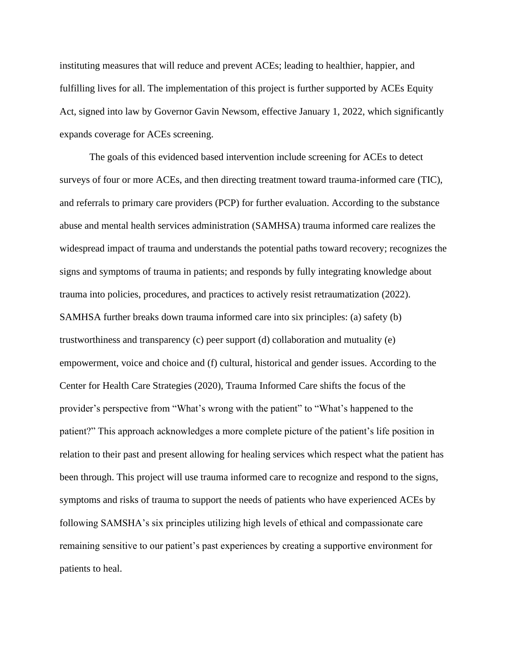instituting measures that will reduce and prevent ACEs; leading to healthier, happier, and fulfilling lives for all. The implementation of this project is further supported by ACEs Equity Act, signed into law by Governor Gavin Newsom, effective January 1, 2022, which significantly expands coverage for ACEs screening.

The goals of this evidenced based intervention include screening for ACEs to detect surveys of four or more ACEs, and then directing treatment toward trauma-informed care (TIC), and referrals to primary care providers (PCP) for further evaluation. According to the substance abuse and mental health services administration (SAMHSA) trauma informed care realizes the widespread impact of trauma and understands the potential paths toward recovery; recognizes the signs and symptoms of trauma in patients; and responds by fully integrating knowledge about trauma into policies, procedures, and practices to actively resist retraumatization (2022). SAMHSA further breaks down trauma informed care into six principles: (a) safety (b) trustworthiness and transparency (c) peer support (d) collaboration and mutuality (e) empowerment, voice and choice and (f) cultural, historical and gender issues. According to the Center for Health Care Strategies (2020), Trauma Informed Care shifts the focus of the provider's perspective from "What's wrong with the patient" to "What's happened to the patient?" This approach acknowledges a more complete picture of the patient's life position in relation to their past and present allowing for healing services which respect what the patient has been through. This project will use trauma informed care to recognize and respond to the signs, symptoms and risks of trauma to support the needs of patients who have experienced ACEs by following SAMSHA's six principles utilizing high levels of ethical and compassionate care remaining sensitive to our patient's past experiences by creating a supportive environment for patients to heal.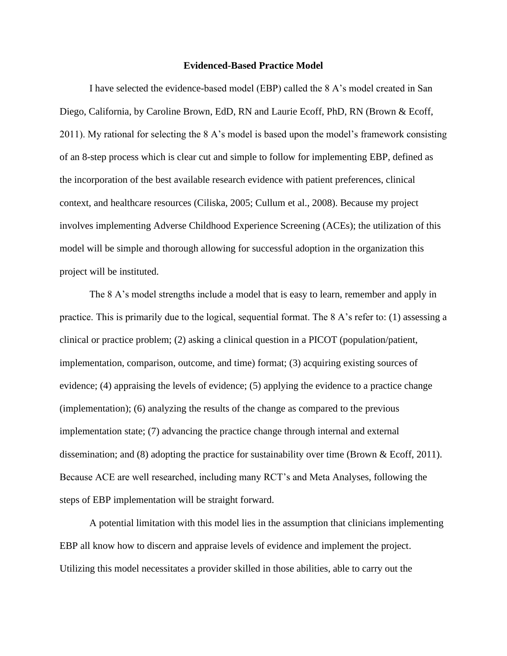#### **Evidenced-Based Practice Model**

I have selected the evidence-based model (EBP) called the 8 A's model created in San Diego, California, by Caroline Brown, EdD, RN and Laurie Ecoff, PhD, RN (Brown & Ecoff, 2011). My rational for selecting the 8 A's model is based upon the model's framework consisting of an 8-step process which is clear cut and simple to follow for implementing EBP, defined as the incorporation of the best available research evidence with patient preferences, clinical context, and healthcare resources (Ciliska, 2005; Cullum et al., 2008). Because my project involves implementing Adverse Childhood Experience Screening (ACEs); the utilization of this model will be simple and thorough allowing for successful adoption in the organization this project will be instituted.

The 8 A's model strengths include a model that is easy to learn, remember and apply in practice. This is primarily due to the logical, sequential format. The 8 A's refer to: (1) assessing a clinical or practice problem; (2) asking a clinical question in a PICOT (population/patient, implementation, comparison, outcome, and time) format; (3) acquiring existing sources of evidence; (4) appraising the levels of evidence; (5) applying the evidence to a practice change (implementation); (6) analyzing the results of the change as compared to the previous implementation state; (7) advancing the practice change through internal and external dissemination; and (8) adopting the practice for sustainability over time (Brown & Ecoff, 2011). Because ACE are well researched, including many RCT's and Meta Analyses, following the steps of EBP implementation will be straight forward.

A potential limitation with this model lies in the assumption that clinicians implementing EBP all know how to discern and appraise levels of evidence and implement the project. Utilizing this model necessitates a provider skilled in those abilities, able to carry out the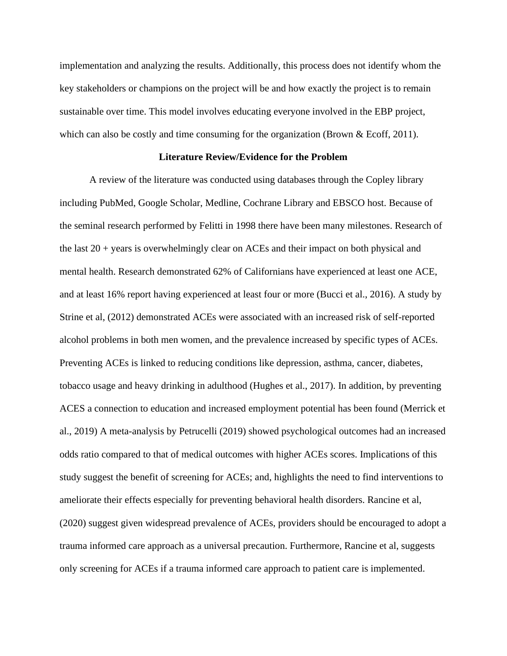implementation and analyzing the results. Additionally, this process does not identify whom the key stakeholders or champions on the project will be and how exactly the project is to remain sustainable over time. This model involves educating everyone involved in the EBP project, which can also be costly and time consuming for the organization (Brown & Ecoff, 2011).

#### **Literature Review/Evidence for the Problem**

A review of the literature was conducted using databases through the Copley library including PubMed, Google Scholar, Medline, Cochrane Library and EBSCO host. Because of the seminal research performed by Felitti in 1998 there have been many milestones. Research of the last 20 + years is overwhelmingly clear on ACEs and their impact on both physical and mental health. Research demonstrated 62% of Californians have experienced at least one ACE, and at least 16% report having experienced at least four or more (Bucci et al., 2016). A study by Strine et al, (2012) demonstrated ACEs were associated with an increased risk of self-reported alcohol problems in both men women, and the prevalence increased by specific types of ACEs. Preventing ACEs is linked to reducing conditions like depression, asthma, cancer, diabetes, tobacco usage and heavy drinking in adulthood (Hughes et al., 2017). In addition, by preventing ACES a connection to education and increased employment potential has been found (Merrick et al., 2019) A meta-analysis by Petrucelli (2019) showed psychological outcomes had an increased odds ratio compared to that of medical outcomes with higher ACEs scores. Implications of this study suggest the benefit of screening for ACEs; and, highlights the need to find interventions to ameliorate their effects especially for preventing behavioral health disorders. Rancine et al, (2020) suggest given widespread prevalence of ACEs, providers should be encouraged to adopt a trauma informed care approach as a universal precaution. Furthermore, Rancine et al, suggests only screening for ACEs if a trauma informed care approach to patient care is implemented.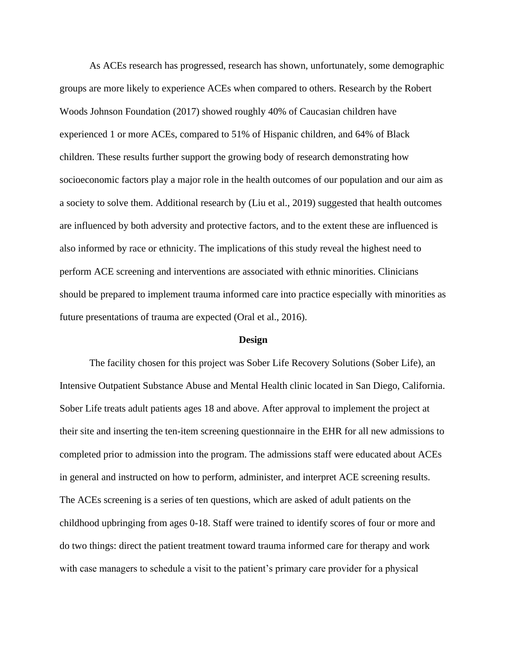As ACEs research has progressed, research has shown, unfortunately, some demographic groups are more likely to experience ACEs when compared to others. Research by the Robert Woods Johnson Foundation (2017) showed roughly 40% of Caucasian children have experienced 1 or more ACEs, compared to 51% of Hispanic children, and 64% of Black children. These results further support the growing body of research demonstrating how socioeconomic factors play a major role in the health outcomes of our population and our aim as a society to solve them. Additional research by (Liu et al., 2019) suggested that health outcomes are influenced by both adversity and protective factors, and to the extent these are influenced is also informed by race or ethnicity. The implications of this study reveal the highest need to perform ACE screening and interventions are associated with ethnic minorities. Clinicians should be prepared to implement trauma informed care into practice especially with minorities as future presentations of trauma are expected (Oral et al., 2016).

#### **Design**

The facility chosen for this project was Sober Life Recovery Solutions (Sober Life), an Intensive Outpatient Substance Abuse and Mental Health clinic located in San Diego, California. Sober Life treats adult patients ages 18 and above. After approval to implement the project at their site and inserting the ten-item screening questionnaire in the EHR for all new admissions to completed prior to admission into the program. The admissions staff were educated about ACEs in general and instructed on how to perform, administer, and interpret ACE screening results. The ACEs screening is a series of ten questions, which are asked of adult patients on the childhood upbringing from ages 0-18. Staff were trained to identify scores of four or more and do two things: direct the patient treatment toward trauma informed care for therapy and work with case managers to schedule a visit to the patient's primary care provider for a physical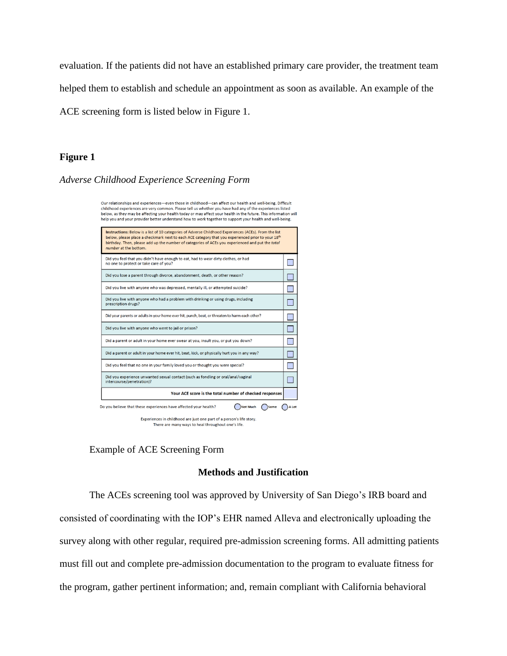evaluation. If the patients did not have an established primary care provider, the treatment team

helped them to establish and schedule an appointment as soon as available. An example of the

ACE screening form is listed below in Figure 1.

#### **Figure 1**

*Adverse Childhood Experience Screening Form*

Our relationships and experiences-even those in childhood-can affect our health and well-being. Difficult childhood experiences are very common. Please tell us whether you have had any of the experiences listed below, as they may be affecting your health today or may affect your health in the future. This information will help you and your provider better understand how to work together to support your health and well-being.



Experiences in childhood are just one part of a person's life story. There are many ways to heal throughout one's life.

Example of ACE Screening Form

#### **Methods and Justification**

The ACEs screening tool was approved by University of San Diego's IRB board and consisted of coordinating with the IOP's EHR named Alleva and electronically uploading the survey along with other regular, required pre-admission screening forms. All admitting patients must fill out and complete pre-admission documentation to the program to evaluate fitness for the program, gather pertinent information; and, remain compliant with California behavioral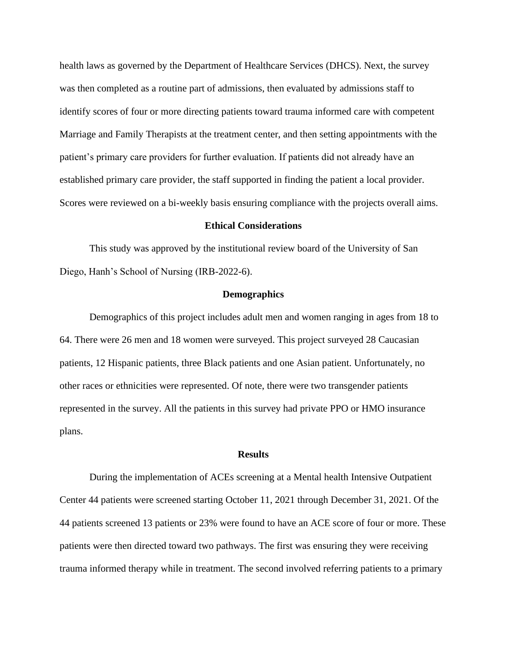health laws as governed by the Department of Healthcare Services (DHCS). Next, the survey was then completed as a routine part of admissions, then evaluated by admissions staff to identify scores of four or more directing patients toward trauma informed care with competent Marriage and Family Therapists at the treatment center, and then setting appointments with the patient's primary care providers for further evaluation. If patients did not already have an established primary care provider, the staff supported in finding the patient a local provider. Scores were reviewed on a bi-weekly basis ensuring compliance with the projects overall aims.

#### **Ethical Considerations**

This study was approved by the institutional review board of the University of San Diego, Hanh's School of Nursing (IRB-2022-6).

#### **Demographics**

Demographics of this project includes adult men and women ranging in ages from 18 to 64. There were 26 men and 18 women were surveyed. This project surveyed 28 Caucasian patients, 12 Hispanic patients, three Black patients and one Asian patient. Unfortunately, no other races or ethnicities were represented. Of note, there were two transgender patients represented in the survey. All the patients in this survey had private PPO or HMO insurance plans.

#### **Results**

During the implementation of ACEs screening at a Mental health Intensive Outpatient Center 44 patients were screened starting October 11, 2021 through December 31, 2021. Of the 44 patients screened 13 patients or 23% were found to have an ACE score of four or more. These patients were then directed toward two pathways. The first was ensuring they were receiving trauma informed therapy while in treatment. The second involved referring patients to a primary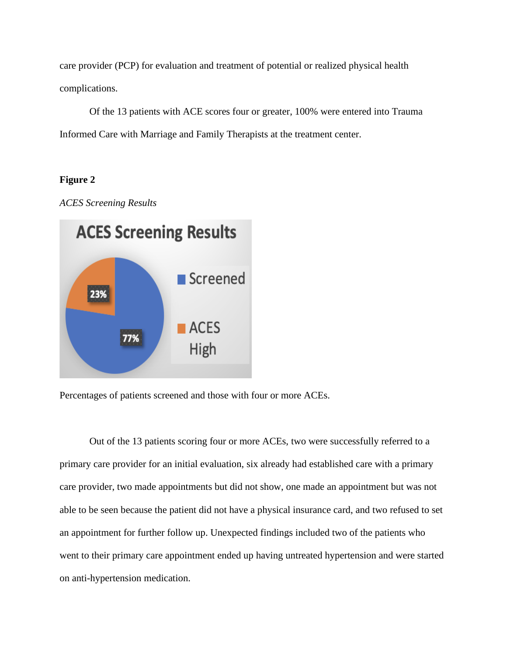care provider (PCP) for evaluation and treatment of potential or realized physical health complications.

Of the 13 patients with ACE scores four or greater, 100% were entered into Trauma Informed Care with Marriage and Family Therapists at the treatment center.

### **Figure 2**





Percentages of patients screened and those with four or more ACEs.

Out of the 13 patients scoring four or more ACEs, two were successfully referred to a primary care provider for an initial evaluation, six already had established care with a primary care provider, two made appointments but did not show, one made an appointment but was not able to be seen because the patient did not have a physical insurance card, and two refused to set an appointment for further follow up. Unexpected findings included two of the patients who went to their primary care appointment ended up having untreated hypertension and were started on anti-hypertension medication.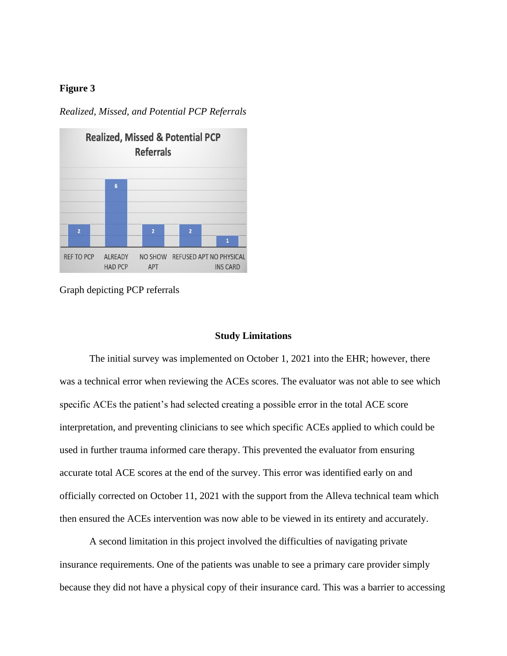### **Figure 3**

*Realized, Missed, and Potential PCP Referrals*



Graph depicting PCP referrals

#### **Study Limitations**

The initial survey was implemented on October 1, 2021 into the EHR; however, there was a technical error when reviewing the ACEs scores. The evaluator was not able to see which specific ACEs the patient's had selected creating a possible error in the total ACE score interpretation, and preventing clinicians to see which specific ACEs applied to which could be used in further trauma informed care therapy. This prevented the evaluator from ensuring accurate total ACE scores at the end of the survey. This error was identified early on and officially corrected on October 11, 2021 with the support from the Alleva technical team which then ensured the ACEs intervention was now able to be viewed in its entirety and accurately.

A second limitation in this project involved the difficulties of navigating private insurance requirements. One of the patients was unable to see a primary care provider simply because they did not have a physical copy of their insurance card. This was a barrier to accessing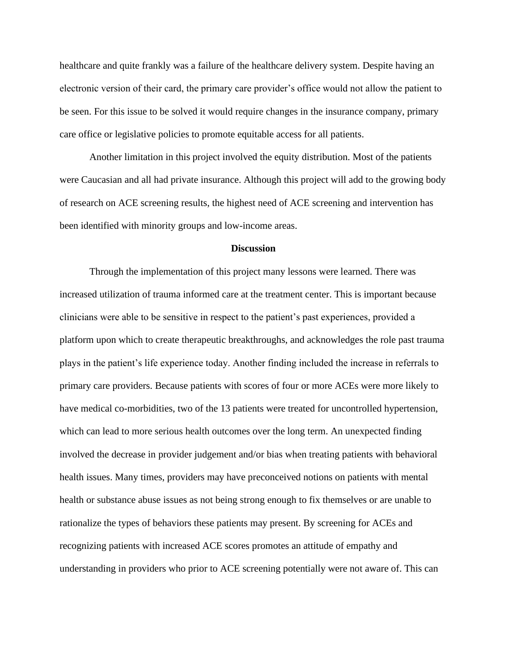healthcare and quite frankly was a failure of the healthcare delivery system. Despite having an electronic version of their card, the primary care provider's office would not allow the patient to be seen. For this issue to be solved it would require changes in the insurance company, primary care office or legislative policies to promote equitable access for all patients.

Another limitation in this project involved the equity distribution. Most of the patients were Caucasian and all had private insurance. Although this project will add to the growing body of research on ACE screening results, the highest need of ACE screening and intervention has been identified with minority groups and low-income areas.

#### **Discussion**

Through the implementation of this project many lessons were learned. There was increased utilization of trauma informed care at the treatment center. This is important because clinicians were able to be sensitive in respect to the patient's past experiences, provided a platform upon which to create therapeutic breakthroughs, and acknowledges the role past trauma plays in the patient's life experience today. Another finding included the increase in referrals to primary care providers. Because patients with scores of four or more ACEs were more likely to have medical co-morbidities, two of the 13 patients were treated for uncontrolled hypertension, which can lead to more serious health outcomes over the long term. An unexpected finding involved the decrease in provider judgement and/or bias when treating patients with behavioral health issues. Many times, providers may have preconceived notions on patients with mental health or substance abuse issues as not being strong enough to fix themselves or are unable to rationalize the types of behaviors these patients may present. By screening for ACEs and recognizing patients with increased ACE scores promotes an attitude of empathy and understanding in providers who prior to ACE screening potentially were not aware of. This can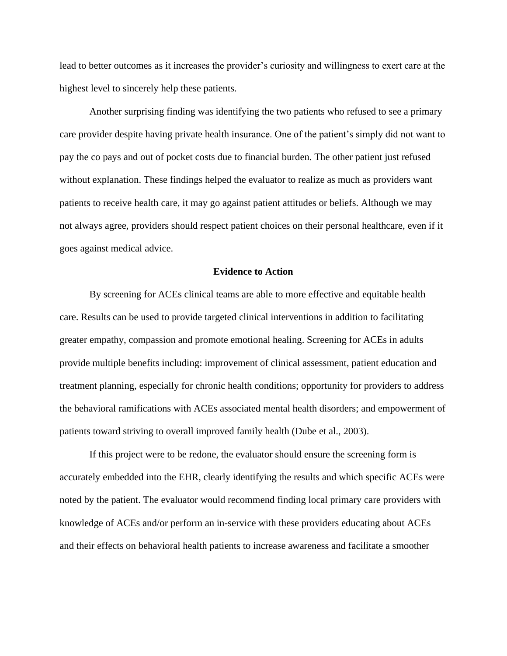lead to better outcomes as it increases the provider's curiosity and willingness to exert care at the highest level to sincerely help these patients.

Another surprising finding was identifying the two patients who refused to see a primary care provider despite having private health insurance. One of the patient's simply did not want to pay the co pays and out of pocket costs due to financial burden. The other patient just refused without explanation. These findings helped the evaluator to realize as much as providers want patients to receive health care, it may go against patient attitudes or beliefs. Although we may not always agree, providers should respect patient choices on their personal healthcare, even if it goes against medical advice.

#### **Evidence to Action**

By screening for ACEs clinical teams are able to more effective and equitable health care. Results can be used to provide targeted clinical interventions in addition to facilitating greater empathy, compassion and promote emotional healing. Screening for ACEs in adults provide multiple benefits including: improvement of clinical assessment, patient education and treatment planning, especially for chronic health conditions; opportunity for providers to address the behavioral ramifications with ACEs associated mental health disorders; and empowerment of patients toward striving to overall improved family health (Dube et al., 2003).

If this project were to be redone, the evaluator should ensure the screening form is accurately embedded into the EHR, clearly identifying the results and which specific ACEs were noted by the patient. The evaluator would recommend finding local primary care providers with knowledge of ACEs and/or perform an in-service with these providers educating about ACEs and their effects on behavioral health patients to increase awareness and facilitate a smoother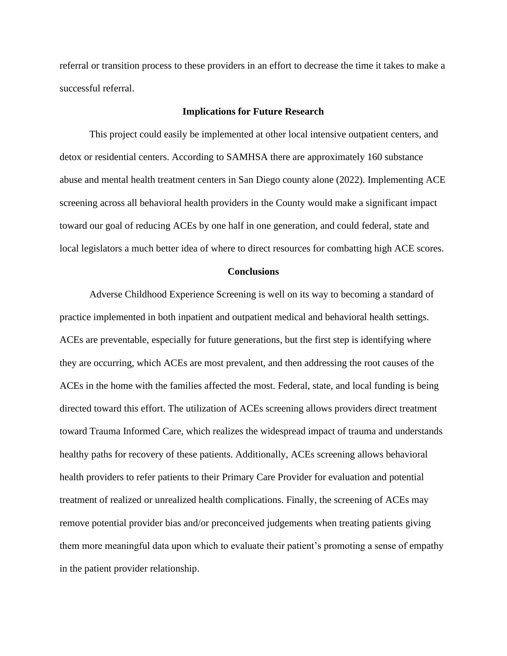referral or transition process to these providers in an effort to decrease the time it takes to make a successful referral.

#### **Implications for Future Research**

This project could easily be implemented at other local intensive outpatient centers, and detox or residential centers. According to SAMHSA there are approximately 160 substance abuse and mental health treatment centers in San Diego county alone (2022). Implementing ACE screening across all behavioral health providers in the County would make a significant impact toward our goal of reducing ACEs by one half in one generation, and could federal, state and local legislators a much better idea of where to direct resources for combatting high ACE scores.

#### **Conclusions**

Adverse Childhood Experience Screening is well on its way to becoming a standard of practice implemented in both inpatient and outpatient medical and behavioral health settings. ACEs are preventable, especially for future generations, but the first step is identifying where they are occurring, which ACEs are most prevalent, and then addressing the root causes of the ACEs in the home with the families affected the most. Federal, state, and local funding is being directed toward this effort. The utilization of ACEs screening allows providers direct treatment toward Trauma Informed Care, which realizes the widespread impact of trauma and understands healthy paths for recovery of these patients. Additionally, ACEs screening allows behavioral health providers to refer patients to their Primary Care Provider for evaluation and potential treatment of realized or unrealized health complications. Finally, the screening of ACEs may remove potential provider bias and/or preconceived judgements when treating patients giving them more meaningful data upon which to evaluate their patient's promoting a sense of empathy in the patient provider relationship.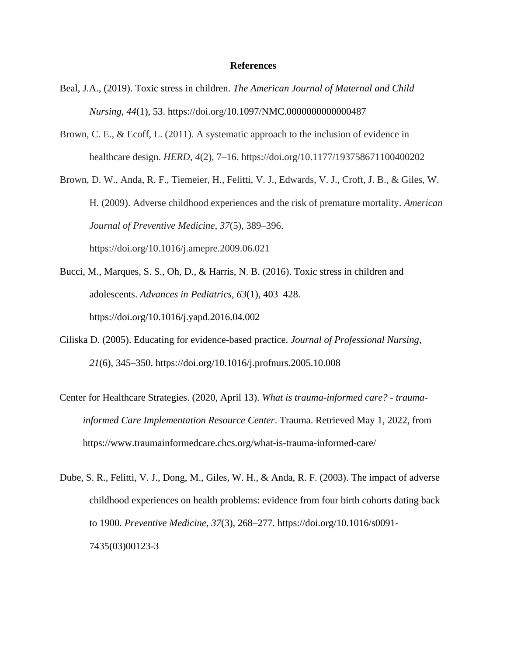#### **References**

- Beal, J.A., (2019). Toxic stress in children. *The American Journal of Maternal and Child Nursing*, *44*(1), 53. https://doi.org/10.1097/NMC.0000000000000487
- Brown, C. E., & Ecoff, L. (2011). A systematic approach to the inclusion of evidence in healthcare design. *HERD*, *4*(2), 7–16. https://doi.org/10.1177/193758671100400202

Brown, D. W., Anda, R. F., Tiemeier, H., Felitti, V. J., Edwards, V. J., Croft, J. B., & Giles, W. H. (2009). Adverse childhood experiences and the risk of premature mortality. *American Journal of Preventive Medicine*, *37*(5), 389–396. https://doi.org/10.1016/j.amepre.2009.06.021

- Bucci, M., Marques, S. S., Oh, D., & Harris, N. B. (2016). Toxic stress in children and adolescents. *Advances in Pediatrics, 63*(1), 403–428. https://doi.org/10.1016/j.yapd.2016.04.002
- Ciliska D. (2005). Educating for evidence-based practice. *Journal of Professional Nursing, 21*(6), 345–350. https://doi.org/10.1016/j.profnurs.2005.10.008
- Center for Healthcare Strategies. (2020, April 13). *What is trauma-informed care? - traumainformed Care Implementation Resource Center*. Trauma. Retrieved May 1, 2022, from https://www.traumainformedcare.chcs.org/what-is-trauma-informed-care/
- Dube, S. R., Felitti, V. J., Dong, M., Giles, W. H., & Anda, R. F. (2003). The impact of adverse childhood experiences on health problems: evidence from four birth cohorts dating back to 1900. *Preventive Medicine, 37*(3), 268–277. https://doi.org/10.1016/s0091- 7435(03)00123-3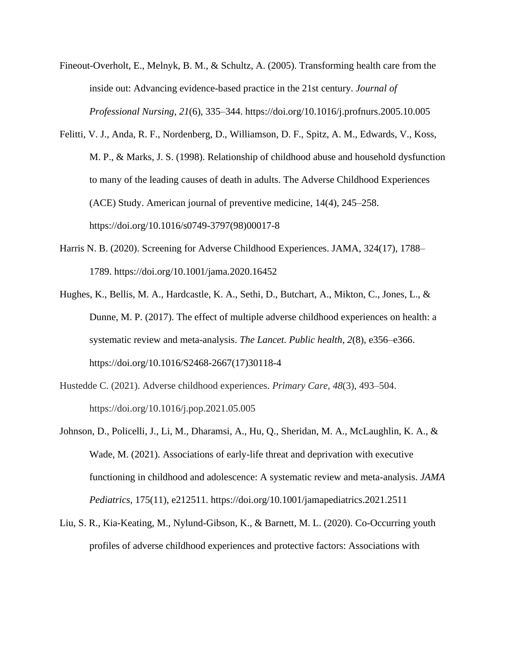- Fineout-Overholt, E., Melnyk, B. M., & Schultz, A. (2005). Transforming health care from the inside out: Advancing evidence-based practice in the 21st century. *Journal of Professional Nursing*, *21*(6), 335–344. https://doi.org/10.1016/j.profnurs.2005.10.005
- Felitti, V. J., Anda, R. F., Nordenberg, D., Williamson, D. F., Spitz, A. M., Edwards, V., Koss, M. P., & Marks, J. S. (1998). Relationship of childhood abuse and household dysfunction to many of the leading causes of death in adults. The Adverse Childhood Experiences (ACE) Study. American journal of preventive medicine, 14(4), 245–258. https://doi.org/10.1016/s0749-3797(98)00017-8
- Harris N. B. (2020). Screening for Adverse Childhood Experiences. JAMA, 324(17), 1788– 1789. https://doi.org/10.1001/jama.2020.16452
- Hughes, K., Bellis, M. A., Hardcastle, K. A., Sethi, D., Butchart, A., Mikton, C., Jones, L., & Dunne, M. P. (2017). The effect of multiple adverse childhood experiences on health: a systematic review and meta-analysis. *The Lancet. Public health*, *2*(8), e356–e366. https://doi.org/10.1016/S2468-2667(17)30118-4
- Hustedde C. (2021). Adverse childhood experiences. *Primary Care*, *48*(3), 493–504. https://doi.org/10.1016/j.pop.2021.05.005
- Johnson, D., Policelli, J., Li, M., Dharamsi, A., Hu, Q., Sheridan, M. A., McLaughlin, K. A., & Wade, M. (2021). Associations of early-life threat and deprivation with executive functioning in childhood and adolescence: A systematic review and meta-analysis. *JAMA Pediatrics*, 175(11), e212511. https://doi.org/10.1001/jamapediatrics.2021.2511
- Liu, S. R., Kia-Keating, M., Nylund-Gibson, K., & Barnett, M. L. (2020). Co-Occurring youth profiles of adverse childhood experiences and protective factors: Associations with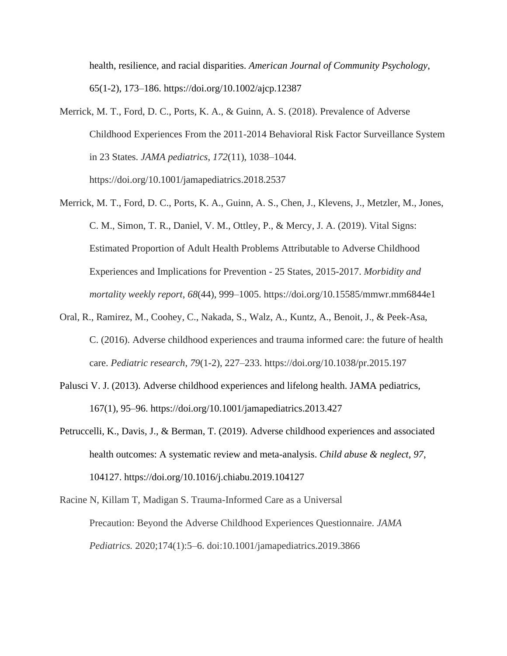health, resilience, and racial disparities. *American Journal of Community Psychology*, 65(1-2), 173–186. https://doi.org/10.1002/ajcp.12387

- Merrick, M. T., Ford, D. C., Ports, K. A., & Guinn, A. S. (2018). Prevalence of Adverse Childhood Experiences From the 2011-2014 Behavioral Risk Factor Surveillance System in 23 States. *JAMA pediatrics*, *172*(11), 1038–1044. https://doi.org/10.1001/jamapediatrics.2018.2537
- Merrick, M. T., Ford, D. C., Ports, K. A., Guinn, A. S., Chen, J., Klevens, J., Metzler, M., Jones, C. M., Simon, T. R., Daniel, V. M., Ottley, P., & Mercy, J. A. (2019). Vital Signs: Estimated Proportion of Adult Health Problems Attributable to Adverse Childhood Experiences and Implications for Prevention - 25 States, 2015-2017. *Morbidity and mortality weekly report*, *68*(44), 999–1005. https://doi.org/10.15585/mmwr.mm6844e1
- Oral, R., Ramirez, M., Coohey, C., Nakada, S., Walz, A., Kuntz, A., Benoit, J., & Peek-Asa, C. (2016). Adverse childhood experiences and trauma informed care: the future of health care. *Pediatric research*, *79*(1-2), 227–233. https://doi.org/10.1038/pr.2015.197
- Palusci V. J. (2013). Adverse childhood experiences and lifelong health. JAMA pediatrics, 167(1), 95–96. https://doi.org/10.1001/jamapediatrics.2013.427
- Petruccelli, K., Davis, J., & Berman, T. (2019). Adverse childhood experiences and associated health outcomes: A systematic review and meta-analysis. *Child abuse & neglect*, *97*, 104127. https://doi.org/10.1016/j.chiabu.2019.104127
- Racine N, Killam T, Madigan S. Trauma-Informed Care as a Universal Precaution: Beyond the Adverse Childhood Experiences Questionnaire. *JAMA Pediatrics.* 2020;174(1):5–6. doi:10.1001/jamapediatrics.2019.3866